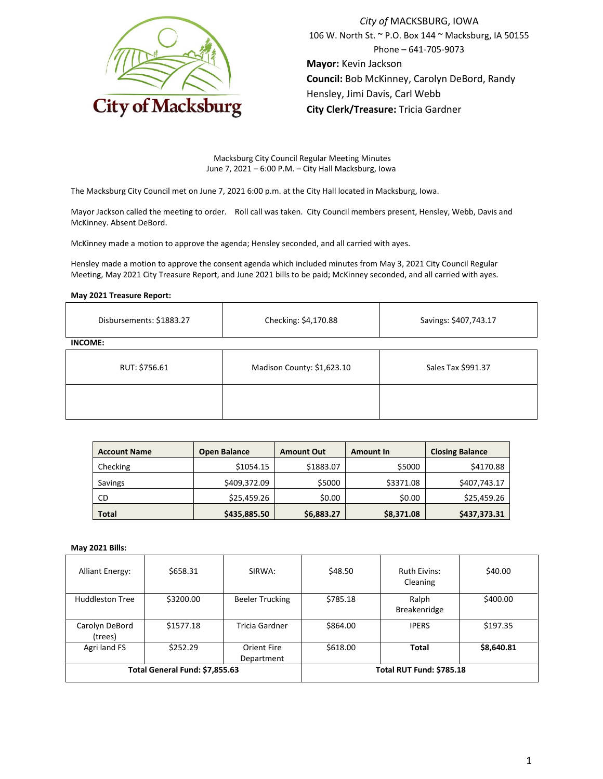

*City of* MACKSBURG, IOWA 106 W. North St. ~ P.O. Box 144 ~ Macksburg, IA 50155 Phone – 641-705-9073 **Mayor:** Kevin Jackson **Council:** Bob McKinney, Carolyn DeBord, Randy Hensley, Jimi Davis, Carl Webb **City Clerk/Treasure:** Tricia Gardner

Macksburg City Council Regular Meeting Minutes June 7, 2021 – 6:00 P.M. – City Hall Macksburg, Iowa

The Macksburg City Council met on June 7, 2021 6:00 p.m. at the City Hall located in Macksburg, Iowa.

Mayor Jackson called the meeting to order. Roll call was taken. City Council members present, Hensley, Webb, Davis and McKinney. Absent DeBord.

McKinney made a motion to approve the agenda; Hensley seconded, and all carried with ayes.

Hensley made a motion to approve the consent agenda which included minutes from May 3, 2021 City Council Regular Meeting, May 2021 City Treasure Report, and June 2021 bills to be paid; McKinney seconded, and all carried with ayes.

#### **May 2021 Treasure Report:**

| Disbursements: \$1883.27 | Checking: \$4,170.88       | Savings: \$407,743.17 |  |
|--------------------------|----------------------------|-----------------------|--|
| <b>INCOME:</b>           |                            |                       |  |
| RUT: \$756.61            | Madison County: \$1,623.10 | Sales Tax \$991.37    |  |
|                          |                            |                       |  |

| <b>Account Name</b> | <b>Open Balance</b> | <b>Amount Out</b> | <b>Amount In</b> | <b>Closing Balance</b> |
|---------------------|---------------------|-------------------|------------------|------------------------|
| Checking            | \$1054.15           | \$1883.07         | \$5000           | \$4170.88              |
| Savings             | \$409,372.09        | \$5000            | \$3371.08        | \$407,743.17           |
| <b>CD</b>           | \$25,459.26         | \$0.00            | \$0.00           | \$25,459.26            |
| <b>Total</b>        | \$435,885.50        | \$6,883.27        | \$8,371.08       | \$437,373.31           |

#### **May 2021 Bills:**

| <b>Alliant Energy:</b>         | \$658.31  | SIRWA:                          | \$48.50  | <b>Ruth Eivins:</b><br>Cleaning | \$40.00    |
|--------------------------------|-----------|---------------------------------|----------|---------------------------------|------------|
| <b>Huddleston Tree</b>         | \$3200.00 | <b>Beeler Trucking</b>          | \$785.18 | Ralph<br><b>Breakenridge</b>    | \$400.00   |
| Carolyn DeBord<br>(trees)      | \$1577.18 | Tricia Gardner                  | \$864.00 | <b>IPERS</b>                    | \$197.35   |
| Agri land FS                   | \$252.29  | Orient Fire<br>Department       | \$618.00 | <b>Total</b>                    | \$8,640.81 |
| Total General Fund: \$7,855.63 |           | <b>Total RUT Fund: \$785.18</b> |          |                                 |            |